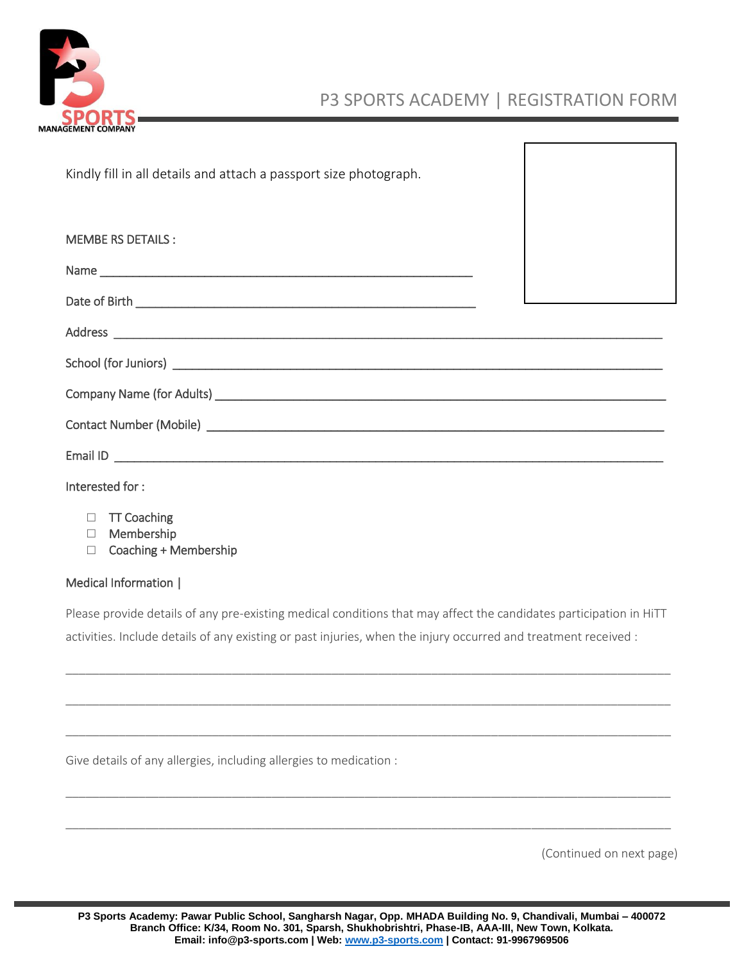

# P3 SPORTS ACADEMY | REGISTRATION FORM

Kindly fill in all details and attach a passport size photograph.

| <b>MEMBE RS DETAILS:</b> |  |  |
|--------------------------|--|--|
|                          |  |  |
|                          |  |  |
|                          |  |  |
|                          |  |  |
|                          |  |  |
|                          |  |  |
|                          |  |  |
|                          |  |  |

#### Interested for :

- □ TT Coaching
- □ Membership
- □ Coaching + Membership

#### Medical Information |

Please provide details of any pre-existing medical conditions that may affect the candidates participation in HiTT activities. Include details of any existing or past injuries, when the injury occurred and treatment received :

\_\_\_\_\_\_\_\_\_\_\_\_\_\_\_\_\_\_\_\_\_\_\_\_\_\_\_\_\_\_\_\_\_\_\_\_\_\_\_\_\_\_\_\_\_\_\_\_\_\_\_\_\_\_\_\_\_\_\_\_\_\_\_\_\_\_\_\_\_\_\_\_\_\_\_\_\_\_\_\_\_\_\_\_\_\_\_\_\_\_\_

\_\_\_\_\_\_\_\_\_\_\_\_\_\_\_\_\_\_\_\_\_\_\_\_\_\_\_\_\_\_\_\_\_\_\_\_\_\_\_\_\_\_\_\_\_\_\_\_\_\_\_\_\_\_\_\_\_\_\_\_\_\_\_\_\_\_\_\_\_\_\_\_\_\_\_\_\_\_\_\_\_\_\_\_\_\_\_\_\_\_\_

\_\_\_\_\_\_\_\_\_\_\_\_\_\_\_\_\_\_\_\_\_\_\_\_\_\_\_\_\_\_\_\_\_\_\_\_\_\_\_\_\_\_\_\_\_\_\_\_\_\_\_\_\_\_\_\_\_\_\_\_\_\_\_\_\_\_\_\_\_\_\_\_\_\_\_\_\_\_\_\_\_\_\_\_\_\_\_\_\_\_\_

\_\_\_\_\_\_\_\_\_\_\_\_\_\_\_\_\_\_\_\_\_\_\_\_\_\_\_\_\_\_\_\_\_\_\_\_\_\_\_\_\_\_\_\_\_\_\_\_\_\_\_\_\_\_\_\_\_\_\_\_\_\_\_\_\_\_\_\_\_\_\_\_\_\_\_\_\_\_\_\_\_\_\_\_\_\_\_\_\_\_\_

\_\_\_\_\_\_\_\_\_\_\_\_\_\_\_\_\_\_\_\_\_\_\_\_\_\_\_\_\_\_\_\_\_\_\_\_\_\_\_\_\_\_\_\_\_\_\_\_\_\_\_\_\_\_\_\_\_\_\_\_\_\_\_\_\_\_\_\_\_\_\_\_\_\_\_\_\_\_\_\_\_\_\_\_\_\_\_\_\_\_\_

Give details of any allergies, including allergies to medication :

(Continued on next page)